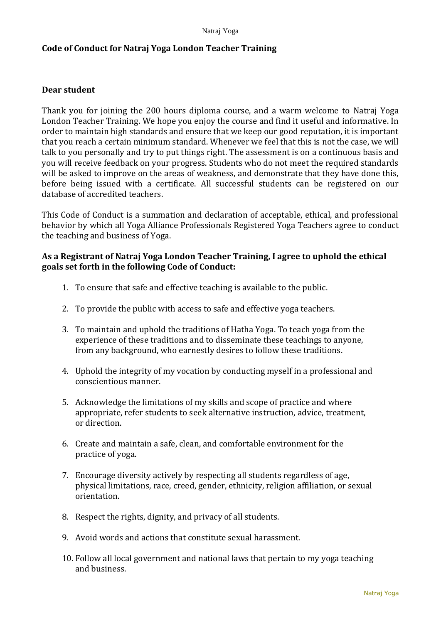## **Code of Conduct for Natraj Yoga London Teacher Training**

## **Dear student**

Thank you for joining the 200 hours diploma course, and a warm welcome to Natraj Yoga London Teacher Training. We hope you enjoy the course and find it useful and informative. In order to maintain high standards and ensure that we keep our good reputation, it is important that you reach a certain minimum standard. Whenever we feel that this is not the case, we will talk to you personally and try to put things right. The assessment is on a continuous basis and you will receive feedback on your progress. Students who do not meet the required standards will be asked to improve on the areas of weakness, and demonstrate that they have done this, before being issued with a certificate. All successful students can be registered on our database of accredited teachers.

This Code of Conduct is a summation and declaration of acceptable, ethical, and professional behavior by which all Yoga Alliance Professionals Registered Yoga Teachers agree to conduct the teaching and business of Yoga.

## **As a Registrant of Natraj Yoga London Teacher Training, I agree to uphold the ethical goals set forth in the following Code of Conduct:**

- 1. To ensure that safe and effective teaching is available to the public.
- 2. To provide the public with access to safe and effective yoga teachers.
- 3. To maintain and uphold the traditions of Hatha Yoga. To teach yoga from the experience of these traditions and to disseminate these teachings to anyone, from any background, who earnestly desires to follow these traditions.
- 4. Uphold the integrity of my vocation by conducting myself in a professional and conscientious manner.
- 5. Acknowledge the limitations of my skills and scope of practice and where appropriate, refer students to seek alternative instruction, advice, treatment, or direction.
- 6. Create and maintain a safe, clean, and comfortable environment for the practice of yoga.
- 7. Encourage diversity actively by respecting all students regardless of age, physical limitations, race, creed, gender, ethnicity, religion affiliation, or sexual orientation.
- 8. Respect the rights, dignity, and privacy of all students.
- 9. Avoid words and actions that constitute sexual harassment.
- 10. Follow all local government and national laws that pertain to my yoga teaching and business.